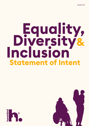# Equality,<br>Diversity&<br>Inclusion **Statement of Intent**



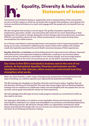

# **Equality, Diversity & Inclusion Statement of Intent**

Humankind is committed to being an organisation that is representative of the communities we serve and the regions in which we are based. We recognise that building a more diverse and inclusive workforce will allow us to reach and engage with the people who can benefit from our services.

We also recognise that society is not yet equal. The quality of people's experience of employment, education, health, care and justice still varies far too much depending on their background. This needs to change. Being part of that change means having honest, sometimes difficult, conversations about our own culture and practices. It also means turning those conversations into visible actions.

As a Charity committed to reducing deprivation and exclusion and to improving people's wellbeing, we are also committed to addressing the needs of those with multiple and complex needs who typically experience the worst health outcomes because of their experiences.

**Equality, Diversity** and **Inclusion** are the building blocks for improved service delivery, improved staff performance and improved workplace satisfaction, creating an environment where everyone thrives. Humankind is committed to real cultural change, and we strongly believe that by putting EDI at the heart of everything we do, we will deliver impactful services.

**Our vision is that EDI is everybody's business and at the core of our culture. At Humankind, Equality, Diversity and Inclusion are the foundations for fair chances, where everyone understands how they strengthen what we do.**

When we value diversity, a wide range of backgrounds, perspectives, lived experiences and ways of working, our creative capacity and organisational potential are limitless.

The EDI strategy sits alongside our Equality, Diversity and Inclusion policy. Together they set the direction and focus for Humankind. This work also closely aligns with our Working Together strategy and our ambitions to collaborate visibly and meaningfully with the people who use our services, and to guide Humankind's mission by lived experience.

We acknowledge that although we have made progress towards our commitment to EDI, we also need to do more.

Our approach will enable us to achieve a more equitable, diverse and inclusive workforce by ensuring EDI is reflected in our values and embedded in our practices and individual behaviours when delivering services. We will drive change within our organisation and beyond, whilst always ensuring that the people who use our services can access and engage and remain at the heart of our thinking and decision making.

abcdefghijklmnop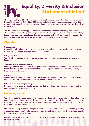

# **Equality, Diversity & Inclusion Statement of Intent**

The responsibility for EDI will continue to lie with all members of staff and volunteers, especially Humankind's leaders. Embedding EDI into our policies, practices, procedures and behaviours throughout Humankind ensures that we will keep making progress towards EDI excellence in all that we do.

The objectives in the strategy will enable Humankind to drive forward workplace cultural change aligned to our People Strategy which includes the approach to culture, to build a truly inclusive culture where people see themselves represented, feel they can do their best work, meet their career aspirations, and better support people to meet their goals.

## **Objectives**

#### **1: Leadership**

Humankind will embed a safe environment in which our leaders drive a culture where everyone thrives through feeling welcome, valued, and included.

#### **2: Representation**

We will reflect and represent the communities where we work, engaging in ways that are inclusive.

#### **3: Responsibility and confidence**

Equality, Diversity, and Inclusion is everyone's business; everyone in Humankind is responsible for contributing to the development of their knowledge and confidence around Equality, Diversity and Inclusion.

#### **4: Data**

We will be transparent with our data to show our performance against our Equality, Diversity and Inclusion targets, which will measure, evaluate and drive our success.

#### **5: Decision making and planning**

Decision making and planning for our service delivery will be viewed and made through the lens of Equality, Diversity and Inclusion.

### **Measuring success**

We will use data to measure our EDI progress on staff recruitment, retention and development. Our data will also show if people with specific protected characteristics are more or less likely to reach their support goals or treatment outcomes. We can then put targeted action in place to reduce those inequalities.

Our surveys of employees and people who use our services will include EDI indicators, providing a baseline measurement and a better understanding of experiences, which will tell us if people feel that we are making progress.

Feedback loops via EDI champions and staff networks will provide us with qualitative feedback<br>on progress made.<br>All and the contract of the contract of the contract of the contract of the contract of the contract of the co on progress made.